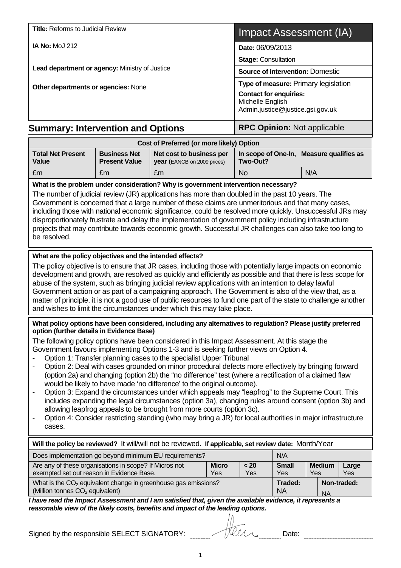| <b>Title: Reforms to Judicial Review</b>                                                                                                                                                                                                                                                                                                                                                                                                                                                                                                                                                                                                                                                                                                                                                                                                                                                                                                                                                                                                                                                                                                                                                                                                  |                                                                                       |                                                         |                     | Impact Assessment (IA)                               |                     |                      |              |  |
|-------------------------------------------------------------------------------------------------------------------------------------------------------------------------------------------------------------------------------------------------------------------------------------------------------------------------------------------------------------------------------------------------------------------------------------------------------------------------------------------------------------------------------------------------------------------------------------------------------------------------------------------------------------------------------------------------------------------------------------------------------------------------------------------------------------------------------------------------------------------------------------------------------------------------------------------------------------------------------------------------------------------------------------------------------------------------------------------------------------------------------------------------------------------------------------------------------------------------------------------|---------------------------------------------------------------------------------------|---------------------------------------------------------|---------------------|------------------------------------------------------|---------------------|----------------------|--------------|--|
| <b>IA No: MoJ 212</b>                                                                                                                                                                                                                                                                                                                                                                                                                                                                                                                                                                                                                                                                                                                                                                                                                                                                                                                                                                                                                                                                                                                                                                                                                     |                                                                                       |                                                         |                     | Date: 06/09/2013                                     |                     |                      |              |  |
|                                                                                                                                                                                                                                                                                                                                                                                                                                                                                                                                                                                                                                                                                                                                                                                                                                                                                                                                                                                                                                                                                                                                                                                                                                           |                                                                                       | <b>Stage: Consultation</b>                              |                     |                                                      |                     |                      |              |  |
| Lead department or agency: Ministry of Justice                                                                                                                                                                                                                                                                                                                                                                                                                                                                                                                                                                                                                                                                                                                                                                                                                                                                                                                                                                                                                                                                                                                                                                                            | <b>Source of intervention: Domestic</b>                                               |                                                         |                     |                                                      |                     |                      |              |  |
| Other departments or agencies: None                                                                                                                                                                                                                                                                                                                                                                                                                                                                                                                                                                                                                                                                                                                                                                                                                                                                                                                                                                                                                                                                                                                                                                                                       | Type of measure: Primary legislation                                                  |                                                         |                     |                                                      |                     |                      |              |  |
|                                                                                                                                                                                                                                                                                                                                                                                                                                                                                                                                                                                                                                                                                                                                                                                                                                                                                                                                                                                                                                                                                                                                                                                                                                           | <b>Contact for enquiries:</b><br>Michelle English<br>Admin.justice@justice.gsi.gov.uk |                                                         |                     |                                                      |                     |                      |              |  |
| <b>Summary: Intervention and Options</b>                                                                                                                                                                                                                                                                                                                                                                                                                                                                                                                                                                                                                                                                                                                                                                                                                                                                                                                                                                                                                                                                                                                                                                                                  |                                                                                       |                                                         |                     | <b>RPC Opinion: Not applicable</b>                   |                     |                      |              |  |
|                                                                                                                                                                                                                                                                                                                                                                                                                                                                                                                                                                                                                                                                                                                                                                                                                                                                                                                                                                                                                                                                                                                                                                                                                                           |                                                                                       | Cost of Preferred (or more likely) Option               |                     |                                                      |                     |                      |              |  |
| <b>Total Net Present</b><br>Value                                                                                                                                                                                                                                                                                                                                                                                                                                                                                                                                                                                                                                                                                                                                                                                                                                                                                                                                                                                                                                                                                                                                                                                                         | <b>Business Net</b><br><b>Present Value</b>                                           | Net cost to business per<br>year (EANCB on 2009 prices) |                     | In scope of One-In, Measure qualifies as<br>Two-Out? |                     |                      |              |  |
| £m                                                                                                                                                                                                                                                                                                                                                                                                                                                                                                                                                                                                                                                                                                                                                                                                                                                                                                                                                                                                                                                                                                                                                                                                                                        | £m                                                                                    | £m                                                      |                     | <b>No</b>                                            |                     | N/A                  |              |  |
| The number of judicial review (JR) applications has more than doubled in the past 10 years. The<br>Government is concerned that a large number of these claims are unmeritorious and that many cases,<br>including those with national economic significance, could be resolved more quickly. Unsuccessful JRs may<br>disproportionately frustrate and delay the implementation of government policy including infrastructure<br>projects that may contribute towards economic growth. Successful JR challenges can also take too long to<br>be resolved.<br>What are the policy objectives and the intended effects?<br>The policy objective is to ensure that JR cases, including those with potentially large impacts on economic<br>development and growth, are resolved as quickly and efficiently as possible and that there is less scope for<br>abuse of the system, such as bringing judicial review applications with an intention to delay lawful<br>Government action or as part of a campaigning approach. The Government is also of the view that, as a<br>matter of principle, it is not a good use of public resources to fund one part of the state to challenge another                                                 |                                                                                       |                                                         |                     |                                                      |                     |                      |              |  |
| and wishes to limit the circumstances under which this may take place.<br>What policy options have been considered, including any alternatives to regulation? Please justify preferred<br>option (further details in Evidence Base)<br>The following policy options have been considered in this Impact Assessment. At this stage the<br>Government favours implementing Options 1-3 and is seeking further views on Option 4.<br>Option 1: Transfer planning cases to the specialist Upper Tribunal<br>Option 2: Deal with cases grounded on minor procedural defects more effectively by bringing forward<br>(option 2a) and changing (option 2b) the "no difference" test (where a rectification of a claimed flaw<br>would be likely to have made 'no difference' to the original outcome).<br>Option 3: Expand the circumstances under which appeals may "leapfrog" to the Supreme Court. This<br>$\overline{\phantom{0}}$<br>includes expanding the legal circumstances (option 3a), changing rules around consent (option 3b) and<br>allowing leapfrog appeals to be brought from more courts (option 3c).<br>Option 4: Consider restricting standing (who may bring a JR) for local authorities in major infrastructure<br>cases. |                                                                                       |                                                         |                     |                                                      |                     |                      |              |  |
| Will the policy be reviewed? It will/will not be reviewed. If applicable, set review date: Month/Year                                                                                                                                                                                                                                                                                                                                                                                                                                                                                                                                                                                                                                                                                                                                                                                                                                                                                                                                                                                                                                                                                                                                     |                                                                                       |                                                         |                     |                                                      |                     |                      |              |  |
| Does implementation go beyond minimum EU requirements?                                                                                                                                                                                                                                                                                                                                                                                                                                                                                                                                                                                                                                                                                                                                                                                                                                                                                                                                                                                                                                                                                                                                                                                    |                                                                                       |                                                         |                     |                                                      | N/A                 |                      |              |  |
| Are any of these organisations in scope? If Micros not<br>exempted set out reason in Evidence Base.                                                                                                                                                                                                                                                                                                                                                                                                                                                                                                                                                                                                                                                                                                                                                                                                                                                                                                                                                                                                                                                                                                                                       |                                                                                       |                                                         | <b>Micro</b><br>Yes | < 20<br>Yes                                          | <b>Small</b><br>Yes | <b>Medium</b><br>Yes | Large<br>Yes |  |

| What is the $CO2$ equivalent change in greenhouse gas emissions?                                                                                                                             | Traded:   | Non-traded: |
|----------------------------------------------------------------------------------------------------------------------------------------------------------------------------------------------|-----------|-------------|
| (Million tonnes $CO2$ equivalent)                                                                                                                                                            | <b>NA</b> | <b>NA</b>   |
| I have read the Impact Assessment and I am satisfied that, given the available evidence, it represents a<br>reasonable view of the likely costs, benefits and impact of the leading options. |           |             |

Signed by the responsible SELECT SIGNATORY: Date: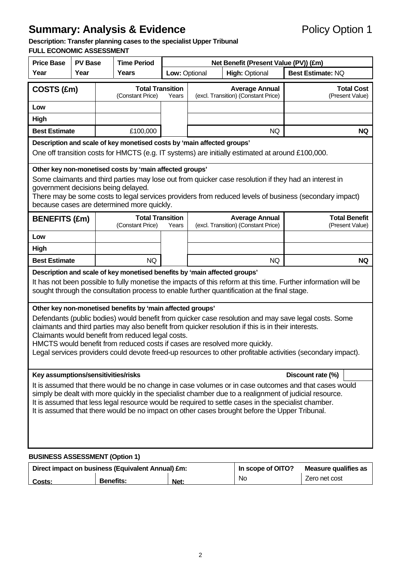# **Description: Transfer planning cases to the specialist Upper Tribunal**

# **FULL ECONOMIC ASSESSMENT**

| <b>Price Base</b>                                                                                                                                                                                                                                                                                                                                                                                                                                                                                                           | <b>PV Base</b>                                                                                                                          |  | <b>Time Period</b>                          | Net Benefit (Present Value (PV)) (£m) |                                        |                                                              |                                         |  |  |
|-----------------------------------------------------------------------------------------------------------------------------------------------------------------------------------------------------------------------------------------------------------------------------------------------------------------------------------------------------------------------------------------------------------------------------------------------------------------------------------------------------------------------------|-----------------------------------------------------------------------------------------------------------------------------------------|--|---------------------------------------------|---------------------------------------|----------------------------------------|--------------------------------------------------------------|-----------------------------------------|--|--|
| Year                                                                                                                                                                                                                                                                                                                                                                                                                                                                                                                        | Year                                                                                                                                    |  | Years                                       |                                       | <b>High: Optional</b><br>Low: Optional |                                                              | <b>Best Estimate: NQ</b>                |  |  |
| COSTS (£m)                                                                                                                                                                                                                                                                                                                                                                                                                                                                                                                  | <b>Total Transition</b><br>(Constant Price)<br>(excl. Transition) (Constant Price)<br>Years                                             |  | <b>Average Annual</b>                       | <b>Total Cost</b><br>(Present Value)  |                                        |                                                              |                                         |  |  |
| Low                                                                                                                                                                                                                                                                                                                                                                                                                                                                                                                         |                                                                                                                                         |  |                                             |                                       |                                        |                                                              |                                         |  |  |
| <b>High</b>                                                                                                                                                                                                                                                                                                                                                                                                                                                                                                                 |                                                                                                                                         |  |                                             |                                       |                                        |                                                              | <b>NQ</b>                               |  |  |
| <b>Best Estimate</b><br>£100,000<br><b>NQ</b>                                                                                                                                                                                                                                                                                                                                                                                                                                                                               |                                                                                                                                         |  |                                             |                                       |                                        |                                                              |                                         |  |  |
| Description and scale of key monetised costs by 'main affected groups'<br>One off transition costs for HMCTS (e.g. IT systems) are initially estimated at around £100,000.                                                                                                                                                                                                                                                                                                                                                  |                                                                                                                                         |  |                                             |                                       |                                        |                                                              |                                         |  |  |
| Other key non-monetised costs by 'main affected groups'<br>Some claimants and third parties may lose out from quicker case resolution if they had an interest in<br>government decisions being delayed.<br>There may be some costs to legal services providers from reduced levels of business (secondary impact)<br>because cases are determined more quickly.                                                                                                                                                             |                                                                                                                                         |  |                                             |                                       |                                        |                                                              |                                         |  |  |
| <b>BENEFITS (£m)</b>                                                                                                                                                                                                                                                                                                                                                                                                                                                                                                        |                                                                                                                                         |  | <b>Total Transition</b><br>(Constant Price) | Years                                 |                                        | <b>Average Annual</b><br>(excl. Transition) (Constant Price) | <b>Total Benefit</b><br>(Present Value) |  |  |
| Low                                                                                                                                                                                                                                                                                                                                                                                                                                                                                                                         |                                                                                                                                         |  |                                             |                                       |                                        |                                                              |                                         |  |  |
| <b>High</b>                                                                                                                                                                                                                                                                                                                                                                                                                                                                                                                 |                                                                                                                                         |  |                                             |                                       |                                        |                                                              |                                         |  |  |
| <b>Best Estimate</b>                                                                                                                                                                                                                                                                                                                                                                                                                                                                                                        |                                                                                                                                         |  | NQ                                          |                                       |                                        | <b>NQ</b>                                                    | <b>NQ</b>                               |  |  |
| Description and scale of key monetised benefits by 'main affected groups'<br>It has not been possible to fully monetise the impacts of this reform at this time. Further information will be<br>sought through the consultation process to enable further quantification at the final stage.                                                                                                                                                                                                                                |                                                                                                                                         |  |                                             |                                       |                                        |                                                              |                                         |  |  |
| Other key non-monetised benefits by 'main affected groups'<br>Defendants (public bodies) would benefit from quicker case resolution and may save legal costs. Some<br>claimants and third parties may also benefit from quicker resolution if this is in their interests.<br>Claimants would benefit from reduced legal costs.<br>HMCTS would benefit from reduced costs if cases are resolved more quickly.<br>Legal services providers could devote freed-up resources to other profitable activities (secondary impact). |                                                                                                                                         |  |                                             |                                       |                                        |                                                              |                                         |  |  |
| Key assumptions/sensitivities/risks                                                                                                                                                                                                                                                                                                                                                                                                                                                                                         |                                                                                                                                         |  |                                             |                                       |                                        |                                                              | Discount rate (%)                       |  |  |
| It is assumed that there would be no change in case volumes or in case outcomes and that cases would<br>simply be dealt with more quickly in the specialist chamber due to a realignment of judicial resource.<br>It is assumed that less legal resource would be required to settle cases in the specialist chamber.<br>It is assumed that there would be no impact on other cases brought before the Upper Tribunal.                                                                                                      |                                                                                                                                         |  |                                             |                                       |                                        |                                                              |                                         |  |  |
|                                                                                                                                                                                                                                                                                                                                                                                                                                                                                                                             |                                                                                                                                         |  |                                             |                                       |                                        |                                                              |                                         |  |  |
|                                                                                                                                                                                                                                                                                                                                                                                                                                                                                                                             | <b>BUSINESS ASSESSMENT (Option 1)</b><br>Direct impact on business (Faujualent Annual) fm.<br>In scone of OITO?<br>Measure qualifies as |  |                                             |                                       |                                        |                                                              |                                         |  |  |

|        | Direct impact on business (Equivalent Annual) £m: | In scope of OITO? | Measure qualifies as |               |
|--------|---------------------------------------------------|-------------------|----------------------|---------------|
| Costs: | <b>Benefits:</b>                                  | Net:              | No                   | Zero net cost |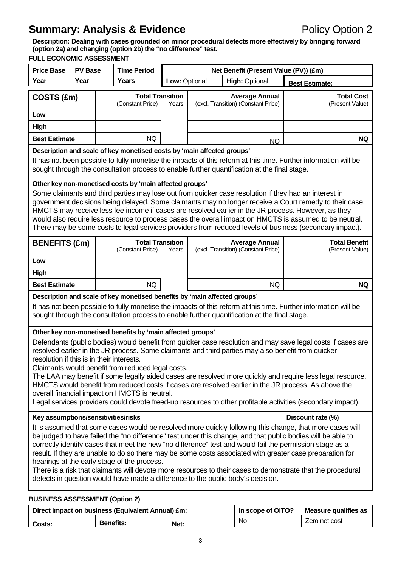**Description: Dealing with cases grounded on minor procedural defects more effectively by bringing forward (option 2a) and changing (option 2b) the "no difference" test.** 

|                                                                                                                                                                                                                                                                                                                                                                                                                                                                                                                                                                                                                                                                                                                                                                         | <b>FULL ECONOMIC ASSESSMENT</b>                                                                                                                                                                                                                                                              |                                             |               |                                                              |                                                                |                                         |  |  |  |
|-------------------------------------------------------------------------------------------------------------------------------------------------------------------------------------------------------------------------------------------------------------------------------------------------------------------------------------------------------------------------------------------------------------------------------------------------------------------------------------------------------------------------------------------------------------------------------------------------------------------------------------------------------------------------------------------------------------------------------------------------------------------------|----------------------------------------------------------------------------------------------------------------------------------------------------------------------------------------------------------------------------------------------------------------------------------------------|---------------------------------------------|---------------|--------------------------------------------------------------|----------------------------------------------------------------|-----------------------------------------|--|--|--|
| <b>Price Base</b><br>Year                                                                                                                                                                                                                                                                                                                                                                                                                                                                                                                                                                                                                                                                                                                                               | <b>PV Base</b><br>Year                                                                                                                                                                                                                                                                       | <b>Time Period</b><br><b>Years</b>          | Low: Optional |                                                              | Net Benefit (Present Value (PV)) (£m)<br><b>High: Optional</b> |                                         |  |  |  |
|                                                                                                                                                                                                                                                                                                                                                                                                                                                                                                                                                                                                                                                                                                                                                                         |                                                                                                                                                                                                                                                                                              |                                             |               |                                                              |                                                                | <b>Best Estimate:</b>                   |  |  |  |
| COSTS (£m)                                                                                                                                                                                                                                                                                                                                                                                                                                                                                                                                                                                                                                                                                                                                                              |                                                                                                                                                                                                                                                                                              | <b>Total Transition</b><br>(Constant Price) | Years         | <b>Average Annual</b><br>(excl. Transition) (Constant Price) |                                                                | <b>Total Cost</b><br>(Present Value)    |  |  |  |
| Low                                                                                                                                                                                                                                                                                                                                                                                                                                                                                                                                                                                                                                                                                                                                                                     |                                                                                                                                                                                                                                                                                              |                                             |               |                                                              |                                                                |                                         |  |  |  |
| <b>High</b>                                                                                                                                                                                                                                                                                                                                                                                                                                                                                                                                                                                                                                                                                                                                                             |                                                                                                                                                                                                                                                                                              |                                             |               |                                                              |                                                                |                                         |  |  |  |
| <b>Best Estimate</b><br>NQ<br><b>NQ</b><br><b>NQ</b>                                                                                                                                                                                                                                                                                                                                                                                                                                                                                                                                                                                                                                                                                                                    |                                                                                                                                                                                                                                                                                              |                                             |               |                                                              |                                                                |                                         |  |  |  |
| Description and scale of key monetised costs by 'main affected groups'<br>It has not been possible to fully monetise the impacts of this reform at this time. Further information will be<br>sought through the consultation process to enable further quantification at the final stage.                                                                                                                                                                                                                                                                                                                                                                                                                                                                               |                                                                                                                                                                                                                                                                                              |                                             |               |                                                              |                                                                |                                         |  |  |  |
| Other key non-monetised costs by 'main affected groups'<br>Some claimants and third parties may lose out from quicker case resolution if they had an interest in<br>government decisions being delayed. Some claimants may no longer receive a Court remedy to their case.<br>HMCTS may receive less fee income if cases are resolved earlier in the JR process. However, as they<br>would also require less resource to process cases the overall impact on HMCTS is assumed to be neutral.<br>There may be some costs to legal services providers from reduced levels of business (secondary impact).                                                                                                                                                                 |                                                                                                                                                                                                                                                                                              |                                             |               |                                                              |                                                                |                                         |  |  |  |
| <b>BENEFITS (£m)</b>                                                                                                                                                                                                                                                                                                                                                                                                                                                                                                                                                                                                                                                                                                                                                    |                                                                                                                                                                                                                                                                                              | <b>Total Transition</b><br>(Constant Price) | Years         |                                                              | <b>Average Annual</b><br>(excl. Transition) (Constant Price)   | <b>Total Benefit</b><br>(Present Value) |  |  |  |
| Low                                                                                                                                                                                                                                                                                                                                                                                                                                                                                                                                                                                                                                                                                                                                                                     |                                                                                                                                                                                                                                                                                              |                                             |               |                                                              |                                                                |                                         |  |  |  |
| High                                                                                                                                                                                                                                                                                                                                                                                                                                                                                                                                                                                                                                                                                                                                                                    |                                                                                                                                                                                                                                                                                              |                                             |               |                                                              |                                                                |                                         |  |  |  |
| <b>Best Estimate</b>                                                                                                                                                                                                                                                                                                                                                                                                                                                                                                                                                                                                                                                                                                                                                    |                                                                                                                                                                                                                                                                                              | <b>NQ</b>                                   |               |                                                              | <b>NQ</b>                                                      | <b>NQ</b>                               |  |  |  |
|                                                                                                                                                                                                                                                                                                                                                                                                                                                                                                                                                                                                                                                                                                                                                                         | Description and scale of key monetised benefits by 'main affected groups'<br>It has not been possible to fully monetise the impacts of this reform at this time. Further information will be<br>sought through the consultation process to enable further quantification at the final stage. |                                             |               |                                                              |                                                                |                                         |  |  |  |
| Other key non-monetised benefits by 'main affected groups'<br>Defendants (public bodies) would benefit from quicker case resolution and may save legal costs if cases are<br>resolved earlier in the JR process. Some claimants and third parties may also benefit from quicker<br>resolution if this is in their interests.<br>Claimants would benefit from reduced legal costs.<br>The LAA may benefit if some legally aided cases are resolved more quickly and require less legal resource.<br>HMCTS would benefit from reduced costs if cases are resolved earlier in the JR process. As above the<br>overall financial impact on HMCTS is neutral.<br>Legal services providers could devote freed-up resources to other profitable activities (secondary impact). |                                                                                                                                                                                                                                                                                              |                                             |               |                                                              |                                                                |                                         |  |  |  |
|                                                                                                                                                                                                                                                                                                                                                                                                                                                                                                                                                                                                                                                                                                                                                                         |                                                                                                                                                                                                                                                                                              |                                             |               |                                                              |                                                                | Discount rate (%)                       |  |  |  |
| Key assumptions/sensitivities/risks<br>It is assumed that some cases would be resolved more quickly following this change, that more cases will<br>be judged to have failed the "no difference" test under this change, and that public bodies will be able to<br>correctly identify cases that meet the new "no difference" test and would fail the permission stage as a<br>result. If they are unable to do so there may be some costs associated with greater case preparation for<br>hearings at the early stage of the process.<br>There is a risk that claimants will devote more resources to their cases to demonstrate that the procedural<br>defects in question would have made a difference to the public body's decision.                                 |                                                                                                                                                                                                                                                                                              |                                             |               |                                                              |                                                                |                                         |  |  |  |
| <b>BUSINESS ASSESSMENT (Option 2)</b>                                                                                                                                                                                                                                                                                                                                                                                                                                                                                                                                                                                                                                                                                                                                   |                                                                                                                                                                                                                                                                                              |                                             |               |                                                              |                                                                |                                         |  |  |  |

|        | Direct impact on business (Equivalent Annual) £m: | In scope of OITO? | Measure qualifies as |               |
|--------|---------------------------------------------------|-------------------|----------------------|---------------|
| Costs: | <b>Benefits:</b>                                  | Net:              | No                   | Zero net cost |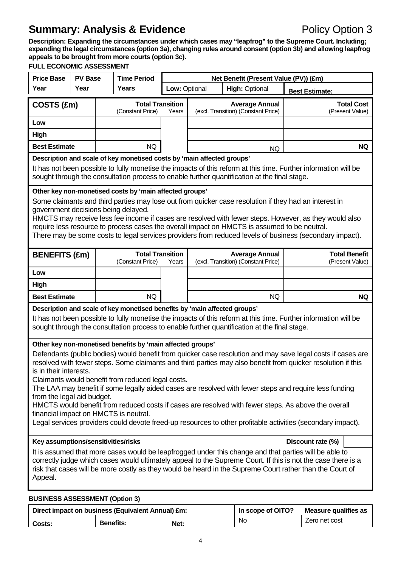**Description: Expanding the circumstances under which cases may "leapfrog" to the Supreme Court. Including; expanding the legal circumstances (option 3a), changing rules around consent (option 3b) and allowing leapfrog appeals to be brought from more courts (option 3c).** 

# **FULL ECONOMIC ASSESSMENT**

| <b>Price Base</b>                                                                                                                                                                                                                                                                                                                                                                                                                                                                                                                                                                                                                                                                                                                                                                                                                                                                                                                                                                                                                                                                                                                                                                           | <b>PV Base</b> |  | <b>Time Period</b>                                                        |               | Net Benefit (Present Value (PV)) (£m) |                                                                                              |                                                                                                                 |  |
|---------------------------------------------------------------------------------------------------------------------------------------------------------------------------------------------------------------------------------------------------------------------------------------------------------------------------------------------------------------------------------------------------------------------------------------------------------------------------------------------------------------------------------------------------------------------------------------------------------------------------------------------------------------------------------------------------------------------------------------------------------------------------------------------------------------------------------------------------------------------------------------------------------------------------------------------------------------------------------------------------------------------------------------------------------------------------------------------------------------------------------------------------------------------------------------------|----------------|--|---------------------------------------------------------------------------|---------------|---------------------------------------|----------------------------------------------------------------------------------------------|-----------------------------------------------------------------------------------------------------------------|--|
| Year                                                                                                                                                                                                                                                                                                                                                                                                                                                                                                                                                                                                                                                                                                                                                                                                                                                                                                                                                                                                                                                                                                                                                                                        | Year           |  | <b>Years</b>                                                              | Low: Optional | <b>High: Optional</b>                 |                                                                                              | <b>Best Estimate:</b>                                                                                           |  |
| COSTS (£m)                                                                                                                                                                                                                                                                                                                                                                                                                                                                                                                                                                                                                                                                                                                                                                                                                                                                                                                                                                                                                                                                                                                                                                                  |                |  | <b>Total Transition</b><br>(Constant Price)                               | Years         |                                       | <b>Average Annual</b><br>(excl. Transition) (Constant Price)                                 | <b>Total Cost</b><br>(Present Value)                                                                            |  |
| Low                                                                                                                                                                                                                                                                                                                                                                                                                                                                                                                                                                                                                                                                                                                                                                                                                                                                                                                                                                                                                                                                                                                                                                                         |                |  |                                                                           |               |                                       |                                                                                              |                                                                                                                 |  |
| <b>High</b>                                                                                                                                                                                                                                                                                                                                                                                                                                                                                                                                                                                                                                                                                                                                                                                                                                                                                                                                                                                                                                                                                                                                                                                 |                |  |                                                                           |               |                                       |                                                                                              |                                                                                                                 |  |
| <b>Best Estimate</b>                                                                                                                                                                                                                                                                                                                                                                                                                                                                                                                                                                                                                                                                                                                                                                                                                                                                                                                                                                                                                                                                                                                                                                        |                |  | <b>NQ</b>                                                                 |               | <b>NQ</b><br><b>NQ</b>                |                                                                                              |                                                                                                                 |  |
| Description and scale of key monetised costs by 'main affected groups'<br>It has not been possible to fully monetise the impacts of this reform at this time. Further information will be<br>sought through the consultation process to enable further quantification at the final stage.                                                                                                                                                                                                                                                                                                                                                                                                                                                                                                                                                                                                                                                                                                                                                                                                                                                                                                   |                |  |                                                                           |               |                                       |                                                                                              |                                                                                                                 |  |
| Other key non-monetised costs by 'main affected groups'<br>Some claimants and third parties may lose out from quicker case resolution if they had an interest in<br>government decisions being delayed.<br>HMCTS may receive less fee income if cases are resolved with fewer steps. However, as they would also<br>require less resource to process cases the overall impact on HMCTS is assumed to be neutral.<br>There may be some costs to legal services providers from reduced levels of business (secondary impact).                                                                                                                                                                                                                                                                                                                                                                                                                                                                                                                                                                                                                                                                 |                |  |                                                                           |               |                                       |                                                                                              |                                                                                                                 |  |
| <b>BENEFITS (£m)</b>                                                                                                                                                                                                                                                                                                                                                                                                                                                                                                                                                                                                                                                                                                                                                                                                                                                                                                                                                                                                                                                                                                                                                                        |                |  | <b>Total Transition</b><br>(Constant Price)                               | Years         |                                       | <b>Average Annual</b><br>(excl. Transition) (Constant Price)                                 | <b>Total Benefit</b><br>(Present Value)                                                                         |  |
| Low                                                                                                                                                                                                                                                                                                                                                                                                                                                                                                                                                                                                                                                                                                                                                                                                                                                                                                                                                                                                                                                                                                                                                                                         |                |  |                                                                           |               |                                       |                                                                                              |                                                                                                                 |  |
| High                                                                                                                                                                                                                                                                                                                                                                                                                                                                                                                                                                                                                                                                                                                                                                                                                                                                                                                                                                                                                                                                                                                                                                                        |                |  |                                                                           |               |                                       |                                                                                              |                                                                                                                 |  |
| <b>Best Estimate</b>                                                                                                                                                                                                                                                                                                                                                                                                                                                                                                                                                                                                                                                                                                                                                                                                                                                                                                                                                                                                                                                                                                                                                                        |                |  | NQ                                                                        |               |                                       | NQ                                                                                           | <b>NQ</b>                                                                                                       |  |
|                                                                                                                                                                                                                                                                                                                                                                                                                                                                                                                                                                                                                                                                                                                                                                                                                                                                                                                                                                                                                                                                                                                                                                                             |                |  | Description and scale of key monetised benefits by 'main affected groups' |               |                                       | sought through the consultation process to enable further quantification at the final stage. | It has not been possible to fully monetise the impacts of this reform at this time. Further information will be |  |
| Other key non-monetised benefits by 'main affected groups'<br>Defendants (public bodies) would benefit from quicker case resolution and may save legal costs if cases are<br>resolved with fewer steps. Some claimants and third parties may also benefit from quicker resolution if this<br>is in their interests.<br>Claimants would benefit from reduced legal costs.<br>The LAA may benefit if some legally aided cases are resolved with fewer steps and require less funding<br>from the legal aid budget.<br>HMCTS would benefit from reduced costs if cases are resolved with fewer steps. As above the overall<br>financial impact on HMCTS is neutral.<br>Legal services providers could devote freed-up resources to other profitable activities (secondary impact).<br>Key assumptions/sensitivities/risks<br>Discount rate (%)<br>It is assumed that more cases would be leapfrogged under this change and that parties will be able to<br>correctly judge which cases would ultimately appeal to the Supreme Court. If this is not the case there is a<br>risk that cases will be more costly as they would be heard in the Supreme Court rather than the Court of<br>Appeal. |                |  |                                                                           |               |                                       |                                                                                              |                                                                                                                 |  |
| <b>BUSINESS ASSESSMENT (Option 3)</b>                                                                                                                                                                                                                                                                                                                                                                                                                                                                                                                                                                                                                                                                                                                                                                                                                                                                                                                                                                                                                                                                                                                                                       |                |  |                                                                           |               |                                       |                                                                                              |                                                                                                                 |  |

|               | Direct impact on business (Equivalent Annual) £m: | In scope of OITO? | Measure qualifies as |               |
|---------------|---------------------------------------------------|-------------------|----------------------|---------------|
| <b>Costs:</b> | <b>Benefits:</b>                                  | Net:              | No                   | Zero net cost |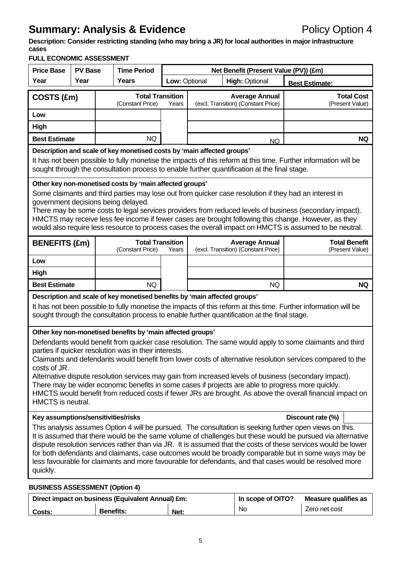**Description: Consider restricting standing (who may bring a JR) for local authorities in major infrastructure cases** 

**FULL ECONOMIC ASSESSMENT** 

| FULL ECUNUMIC ASSESSIMENT<br><b>Price Base</b>                                                                                                                                                                                                                                                                                                                                                                                                                                                                                        | <b>PV Base</b>                                       |  | <b>Time Period</b>                                                                                                  | Net Benefit (Present Value (PV)) (£m)                        |                                      |                                                                                                   |                                                                                                                                                                                                                                                                                                                                                                                                                                                                                                                                                           |  |
|---------------------------------------------------------------------------------------------------------------------------------------------------------------------------------------------------------------------------------------------------------------------------------------------------------------------------------------------------------------------------------------------------------------------------------------------------------------------------------------------------------------------------------------|------------------------------------------------------|--|---------------------------------------------------------------------------------------------------------------------|--------------------------------------------------------------|--------------------------------------|---------------------------------------------------------------------------------------------------|-----------------------------------------------------------------------------------------------------------------------------------------------------------------------------------------------------------------------------------------------------------------------------------------------------------------------------------------------------------------------------------------------------------------------------------------------------------------------------------------------------------------------------------------------------------|--|
| Year                                                                                                                                                                                                                                                                                                                                                                                                                                                                                                                                  | Year                                                 |  | Years                                                                                                               | Low: Optional                                                | <b>High: Optional</b>                |                                                                                                   | <b>Best Estimate:</b>                                                                                                                                                                                                                                                                                                                                                                                                                                                                                                                                     |  |
| COSTS (£m)                                                                                                                                                                                                                                                                                                                                                                                                                                                                                                                            | <b>Total Transition</b><br>(Constant Price)<br>Years |  |                                                                                                                     | <b>Average Annual</b><br>(excl. Transition) (Constant Price) | <b>Total Cost</b><br>(Present Value) |                                                                                                   |                                                                                                                                                                                                                                                                                                                                                                                                                                                                                                                                                           |  |
| Low                                                                                                                                                                                                                                                                                                                                                                                                                                                                                                                                   |                                                      |  |                                                                                                                     |                                                              |                                      |                                                                                                   |                                                                                                                                                                                                                                                                                                                                                                                                                                                                                                                                                           |  |
| <b>Best Estimate</b>                                                                                                                                                                                                                                                                                                                                                                                                                                                                                                                  | High<br><b>NQ</b>                                    |  |                                                                                                                     | <b>NQ</b>                                                    |                                      |                                                                                                   |                                                                                                                                                                                                                                                                                                                                                                                                                                                                                                                                                           |  |
|                                                                                                                                                                                                                                                                                                                                                                                                                                                                                                                                       |                                                      |  | Description and scale of key monetised costs by 'main affected groups'                                              |                                                              |                                      | <b>NQ</b>                                                                                         |                                                                                                                                                                                                                                                                                                                                                                                                                                                                                                                                                           |  |
| It has not been possible to fully monetise the impacts of this reform at this time. Further information will be<br>sought through the consultation process to enable further quantification at the final stage.                                                                                                                                                                                                                                                                                                                       |                                                      |  |                                                                                                                     |                                                              |                                      |                                                                                                   |                                                                                                                                                                                                                                                                                                                                                                                                                                                                                                                                                           |  |
| Other key non-monetised costs by 'main affected groups'<br>Some claimants and third parties may lose out from quicker case resolution if they had an interest in<br>government decisions being delayed.<br>There may be some costs to legal services providers from reduced levels of business (secondary impact).<br>HMCTS may receive less fee income if fewer cases are brought following this change. However, as they<br>would also require less resource to process cases the overall impact on HMCTS is assumed to be neutral. |                                                      |  |                                                                                                                     |                                                              |                                      |                                                                                                   |                                                                                                                                                                                                                                                                                                                                                                                                                                                                                                                                                           |  |
| <b>BENEFITS (£m)</b>                                                                                                                                                                                                                                                                                                                                                                                                                                                                                                                  |                                                      |  | (Constant Price)                                                                                                    | <b>Total Transition</b><br>Years                             |                                      | <b>Average Annual</b><br>(excl. Transition) (Constant Price)                                      | <b>Total Benefit</b><br>(Present Value)                                                                                                                                                                                                                                                                                                                                                                                                                                                                                                                   |  |
| Low                                                                                                                                                                                                                                                                                                                                                                                                                                                                                                                                   |                                                      |  |                                                                                                                     |                                                              |                                      |                                                                                                   |                                                                                                                                                                                                                                                                                                                                                                                                                                                                                                                                                           |  |
| High                                                                                                                                                                                                                                                                                                                                                                                                                                                                                                                                  |                                                      |  |                                                                                                                     |                                                              |                                      |                                                                                                   |                                                                                                                                                                                                                                                                                                                                                                                                                                                                                                                                                           |  |
|                                                                                                                                                                                                                                                                                                                                                                                                                                                                                                                                       |                                                      |  |                                                                                                                     |                                                              |                                      |                                                                                                   |                                                                                                                                                                                                                                                                                                                                                                                                                                                                                                                                                           |  |
| <b>Best Estimate</b>                                                                                                                                                                                                                                                                                                                                                                                                                                                                                                                  |                                                      |  | <b>NQ</b>                                                                                                           |                                                              |                                      | <b>NQ</b>                                                                                         | <b>NQ</b>                                                                                                                                                                                                                                                                                                                                                                                                                                                                                                                                                 |  |
|                                                                                                                                                                                                                                                                                                                                                                                                                                                                                                                                       |                                                      |  | Description and scale of key monetised benefits by 'main affected groups'                                           |                                                              |                                      | sought through the consultation process to enable further quantification at the final stage.      | It has not been possible to fully monetise the impacts of this reform at this time. Further information will be                                                                                                                                                                                                                                                                                                                                                                                                                                           |  |
| costs of JR.<br><b>HMCTS</b> is neutral.                                                                                                                                                                                                                                                                                                                                                                                                                                                                                              |                                                      |  | Other key non-monetised benefits by 'main affected groups'<br>parties if quicker resolution was in their interests. |                                                              |                                      | There may be wider economic benefits in some cases if projects are able to progress more quickly. | Defendants would benefit from quicker case resolution. The same would apply to some claimants and third<br>Claimants and defendants would benefit from lower costs of alternative resolution services compared to the<br>Alternative dispute resolution services may gain from increased levels of business (secondary impact).<br>HMCTS would benefit from reduced costs if fewer JRs are brought. As above the overall financial impact on                                                                                                              |  |
| Key assumptions/sensitivities/risks                                                                                                                                                                                                                                                                                                                                                                                                                                                                                                   |                                                      |  |                                                                                                                     |                                                              |                                      |                                                                                                   | Discount rate (%)                                                                                                                                                                                                                                                                                                                                                                                                                                                                                                                                         |  |
| quickly.                                                                                                                                                                                                                                                                                                                                                                                                                                                                                                                              |                                                      |  |                                                                                                                     |                                                              |                                      |                                                                                                   | This analysis assumes Option 4 will be pursued. The consultation is seeking further open views on this.<br>It is assumed that there would be the same volume of challenges but these would be pursued via alternative<br>dispute resolution services rather than via JR. It is assumed that the costs of these services would be lower<br>for both defendants and claimants, case outcomes would be broadly comparable but in some ways may be<br>less favourable for claimants and more favourable for defendants, and that cases would be resolved more |  |
| <b>BUSINESS ASSESSMENT (Option 4)</b>                                                                                                                                                                                                                                                                                                                                                                                                                                                                                                 |                                                      |  |                                                                                                                     |                                                              |                                      |                                                                                                   |                                                                                                                                                                                                                                                                                                                                                                                                                                                                                                                                                           |  |

|        | Direct impact on business (Equivalent Annual) £m: | In scope of OITO? | Measure qualifies as |               |
|--------|---------------------------------------------------|-------------------|----------------------|---------------|
| Costs: | <b>Benefits:</b>                                  | Net:              | No                   | Zero net cost |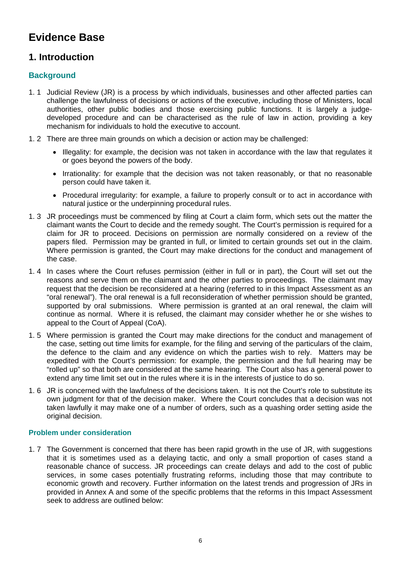# **Evidence Base**

# **1. Introduction**

# **Background**

- 1. 1 Judicial Review (JR) is a process by which individuals, businesses and other affected parties can challenge the lawfulness of decisions or actions of the executive, including those of Ministers, local authorities, other public bodies and those exercising public functions. It is largely a judgedeveloped procedure and can be characterised as the rule of law in action, providing a key mechanism for individuals to hold the executive to account.
- 1. 2 There are three main grounds on which a decision or action may be challenged:
	- Illegality: for example, the decision was not taken in accordance with the law that regulates it or goes beyond the powers of the body.
	- Irrationality: for example that the decision was not taken reasonably, or that no reasonable person could have taken it.
	- Procedural irregularity: for example, a failure to properly consult or to act in accordance with natural justice or the underpinning procedural rules.
- 1. 3 JR proceedings must be commenced by filing at Court a claim form, which sets out the matter the claimant wants the Court to decide and the remedy sought. The Court's permission is required for a claim for JR to proceed. Decisions on permission are normally considered on a review of the papers filed. Permission may be granted in full, or limited to certain grounds set out in the claim. Where permission is granted, the Court may make directions for the conduct and management of the case.
- 1. 4 In cases where the Court refuses permission (either in full or in part), the Court will set out the reasons and serve them on the claimant and the other parties to proceedings. The claimant may request that the decision be reconsidered at a hearing (referred to in this Impact Assessment as an "oral renewal"). The oral renewal is a full reconsideration of whether permission should be granted, supported by oral submissions. Where permission is granted at an oral renewal, the claim will continue as normal. Where it is refused, the claimant may consider whether he or she wishes to appeal to the Court of Appeal (CoA).
- 1. 5 Where permission is granted the Court may make directions for the conduct and management of the case, setting out time limits for example, for the filing and serving of the particulars of the claim, the defence to the claim and any evidence on which the parties wish to rely. Matters may be expedited with the Court's permission: for example, the permission and the full hearing may be "rolled up" so that both are considered at the same hearing. The Court also has a general power to extend any time limit set out in the rules where it is in the interests of justice to do so.
- 1. 6 JR is concerned with the lawfulness of the decisions taken. It is not the Court's role to substitute its own judgment for that of the decision maker. Where the Court concludes that a decision was not taken lawfully it may make one of a number of orders, such as a quashing order setting aside the original decision.

# **Problem under consideration**

1. 7 The Government is concerned that there has been rapid growth in the use of JR, with suggestions that it is sometimes used as a delaying tactic, and only a small proportion of cases stand a reasonable chance of success. JR proceedings can create delays and add to the cost of public services, in some cases potentially frustrating reforms, including those that may contribute to economic growth and recovery. Further information on the latest trends and progression of JRs in provided in Annex A and some of the specific problems that the reforms in this Impact Assessment seek to address are outlined below: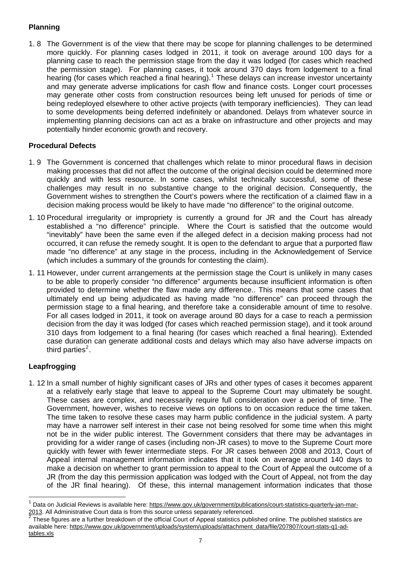# **Planning**

1. 8 The Government is of the view that there may be scope for planning challenges to be determined more quickly. For planning cases lodged in 2011, it took on average around 100 days for a planning case to reach the permission stage from the day it was lodged (for cases which reached the permission stage). For planning cases, it took around 370 days from lodgement to a final hearing (for cases which reached a final hearing).<sup>[1](#page-6-0)</sup> These delays can increase investor uncertainty and may generate adverse implications for cash flow and finance costs. Longer court processes may generate other costs from construction resources being left unused for periods of time or being redeployed elsewhere to other active projects (with temporary inefficiencies). They can lead to some developments being deferred indefinitely or abandoned. Delays from whatever source in implementing planning decisions can act as a brake on infrastructure and other projects and may potentially hinder economic growth and recovery.

# **Procedural Defects**

- 1. 9 The Government is concerned that challenges which relate to minor procedural flaws in decision making processes that did not affect the outcome of the original decision could be determined more quickly and with less resource. In some cases, whilst technically successful, some of these challenges may result in no substantive change to the original decision. Consequently, the Government wishes to strengthen the Court's powers where the rectification of a claimed flaw in a decision making process would be likely to have made "no difference" to the original outcome.
- 1. 10 Procedural irregularity or impropriety is currently a ground for JR and the Court has already established a "no difference" principle. Where the Court is satisfied that the outcome would "inevitably" have been the same even if the alleged defect in a decision making process had not occurred, it can refuse the remedy sought. It is open to the defendant to argue that a purported flaw made "no difference" at any stage in the process, including in the Acknowledgement of Service (which includes a summary of the grounds for contesting the claim).
- 1. 11 However, under current arrangements at the permission stage the Court is unlikely in many cases to be able to properly consider "no difference" arguments because insufficient information is often provided to determine whether the flaw made any difference.. This means that some cases that ultimately end up being adjudicated as having made "no difference" can proceed through the permission stage to a final hearing, and therefore take a considerable amount of time to resolve. For all cases lodged in 2011, it took on average around 80 days for a case to reach a permission decision from the day it was lodged (for cases which reached permission stage), and it took around 310 days from lodgement to a final hearing (for cases which reached a final hearing). Extended case duration can generate additional costs and delays which may also have adverse impacts on third parties<sup>[2](#page-6-1)</sup>.

# **Leapfrogging**

l

1. 12 In a small number of highly significant cases of JRs and other types of cases it becomes apparent at a relatively early stage that leave to appeal to the Supreme Court may ultimately be sought. These cases are complex, and necessarily require full consideration over a period of time. The Government, however, wishes to receive views on options to on occasion reduce the time taken. The time taken to resolve these cases may harm public confidence in the judicial system. A party may have a narrower self interest in their case not being resolved for some time when this might not be in the wider public interest. The Government considers that there may be advantages in providing for a wider range of cases (including non-JR cases) to move to the Supreme Court more quickly with fewer with fewer intermediate steps. For JR cases between 2008 and 2013, Court of Appeal internal management information indicates that it took on average around 140 days to make a decision on whether to grant permission to appeal to the Court of Appeal the outcome of a JR (from the day this permission application was lodged with the Court of Appeal, not from the day of the JR final hearing). Of these, this internal management information indicates that those

<span id="page-6-0"></span><sup>&</sup>lt;sup>1</sup> Data on Judicial Reviews is available here: https://www.gov.uk/government/publications/court-statistics-quarterly-jan-mar-<br>2013. All Administrative Court data is from this source unless separately referenced.

<span id="page-6-1"></span>These figures are a further breakdown of the official Court of Appeal statistics published online. The published statistics are available here: [https://www.gov.uk/government/uploads/system/uploads/attachment\\_data/file/207807/court-stats-q1-ad](https://www.gov.uk/government/uploads/system/uploads/attachment_data/file/207807/court-stats-q1-ad-tables.xls)[tables.xls](https://www.gov.uk/government/uploads/system/uploads/attachment_data/file/207807/court-stats-q1-ad-tables.xls)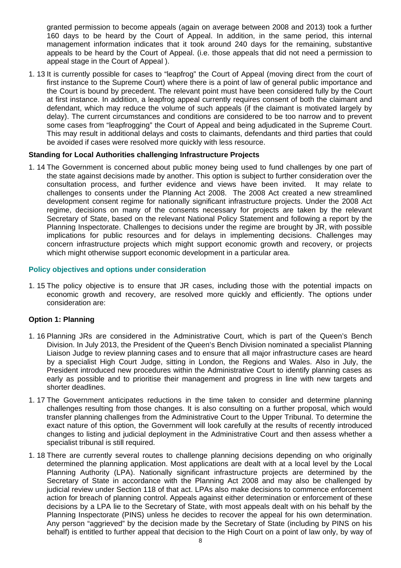granted permission to become appeals (again on average between 2008 and 2013) took a further 160 days to be heard by the Court of Appeal. In addition, in the same period, this internal management information indicates that it took around 240 days for the remaining, substantive appeals to be heard by the Court of Appeal. (i.e. those appeals that did not need a permission to appeal stage in the Court of Appeal ).

1. 13 It is currently possible for cases to "leapfrog" the Court of Appeal (moving direct from the court of first instance to the Supreme Court) where there is a point of law of general public importance and the Court is bound by precedent. The relevant point must have been considered fully by the Court at first instance. In addition, a leapfrog appeal currently requires consent of both the claimant and defendant, which may reduce the volume of such appeals (if the claimant is motivated largely by delay). The current circumstances and conditions are considered to be too narrow and to prevent some cases from "leapfrogging" the Court of Appeal and being adjudicated in the Supreme Court. This may result in additional delays and costs to claimants, defendants and third parties that could be avoided if cases were resolved more quickly with less resource.

# **Standing for Local Authorities challenging Infrastructure Projects**

1. 14 The Government is concerned about public money being used to fund challenges by one part of the state against decisions made by another. This option is subject to further consideration over the consultation process, and further evidence and views have been invited. It may relate to challenges to consents under the Planning Act 2008. The 2008 Act created a new streamlined development consent regime for nationally significant infrastructure projects. Under the 2008 Act regime, decisions on many of the consents necessary for projects are taken by the relevant Secretary of State, based on the relevant National Policy Statement and following a report by the Planning Inspectorate. Challenges to decisions under the regime are brought by JR, with possible implications for public resources and for delays in implementing decisions. Challenges may concern infrastructure projects which might support economic growth and recovery, or projects which might otherwise support economic development in a particular area.

# **Policy objectives and options under consideration**

1. 15 The policy objective is to ensure that JR cases, including those with the potential impacts on economic growth and recovery, are resolved more quickly and efficiently. The options under consideration are:

# **Option 1: Planning**

- 1. 16 Planning JRs are considered in the Administrative Court, which is part of the Queen's Bench Division. In July 2013, the President of the Queen's Bench Division nominated a specialist Planning Liaison Judge to review planning cases and to ensure that all major infrastructure cases are heard by a specialist High Court Judge, sitting in London, the Regions and Wales. Also in July, the President introduced new procedures within the Administrative Court to identify planning cases as early as possible and to prioritise their management and progress in line with new targets and shorter deadlines.
- 1. 17 The Government anticipates reductions in the time taken to consider and determine planning challenges resulting from those changes. It is also consulting on a further proposal, which would transfer planning challenges from the Administrative Court to the Upper Tribunal. To determine the exact nature of this option, the Government will look carefully at the results of recently introduced changes to listing and judicial deployment in the Administrative Court and then assess whether a specialist tribunal is still required.
- 1. 18 There are currently several routes to challenge planning decisions depending on who originally determined the planning application. Most applications are dealt with at a local level by the Local Planning Authority (LPA). Nationally significant infrastructure projects are determined by the Secretary of State in accordance with the Planning Act 2008 and may also be challenged by judicial review under Section 118 of that act. LPAs also make decisions to commence enforcement action for breach of planning control. Appeals against either determination or enforcement of these decisions by a LPA lie to the Secretary of State, with most appeals dealt with on his behalf by the Planning Inspectorate (PINS) unless he decides to recover the appeal for his own determination. Any person "aggrieved" by the decision made by the Secretary of State (including by PINS on his behalf) is entitled to further appeal that decision to the High Court on a point of law only, by way of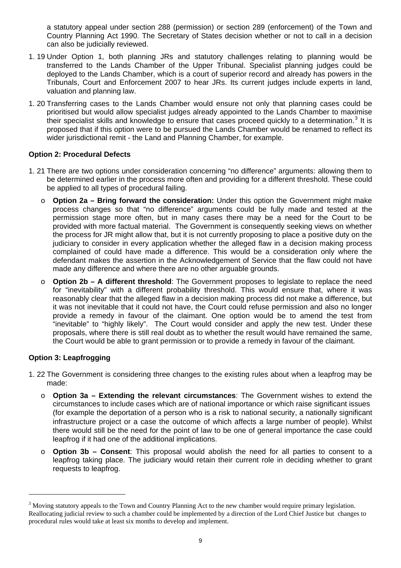a statutory appeal under section 288 (permission) or section 289 (enforcement) of the Town and Country Planning Act 1990. The Secretary of States decision whether or not to call in a decision can also be judicially reviewed.

- 1. 19 Under Option 1, both planning JRs and statutory challenges relating to planning would be transferred to the Lands Chamber of the Upper Tribunal. Specialist planning judges could be deployed to the Lands Chamber, which is a court of superior record and already has powers in the Tribunals, Court and Enforcement 2007 to hear JRs. Its current judges include experts in land, valuation and planning law.
- 1. 20 Transferring cases to the Lands Chamber would ensure not only that planning cases could be prioritised but would allow specialist judges already appointed to the Lands Chamber to maximise their specialist skills and knowledge to ensure that cases proceed quickly to a determination.<sup>[3](#page-8-0)</sup> It is proposed that if this option were to be pursued the Lands Chamber would be renamed to reflect its wider jurisdictional remit - the Land and Planning Chamber, for example.

# **Option 2: Procedural Defects**

- 1. 21 There are two options under consideration concerning "no difference" arguments: allowing them to be determined earlier in the process more often and providing for a different threshold. These could be applied to all types of procedural failing.
	- o **Option 2a Bring forward the consideration:** Under this option the Government might make process changes so that "no difference" arguments could be fully made and tested at the permission stage more often, but in many cases there may be a need for the Court to be provided with more factual material. The Government is consequently seeking views on whether the process for JR might allow that, but it is not currently proposing to place a positive duty on the judiciary to consider in every application whether the alleged flaw in a decision making process complained of could have made a difference. This would be a consideration only where the defendant makes the assertion in the Acknowledgement of Service that the flaw could not have made any difference and where there are no other arguable grounds.
	- o **Option 2b A different threshold**: The Government proposes to legislate to replace the need for "inevitability" with a different probability threshold. This would ensure that, where it was reasonably clear that the alleged flaw in a decision making process did not make a difference, but it was not inevitable that it could not have, the Court could refuse permission and also no longer provide a remedy in favour of the claimant. One option would be to amend the test from "inevitable" to "highly likely". The Court would consider and apply the new test. Under these proposals, where there is still real doubt as to whether the result would have remained the same, the Court would be able to grant permission or to provide a remedy in favour of the claimant.

# **Option 3: Leapfrogging**

l

- 1. 22 The Government is considering three changes to the existing rules about when a leapfrog may be made:
	- o **Option 3a Extending the relevant circumstances**: The Government wishes to extend the circumstances to include cases which are of national importance or which raise significant issues (for example the deportation of a person who is a risk to national security, a nationally significant infrastructure project or a case the outcome of which affects a large number of people). Whilst there would still be the need for the point of law to be one of general importance the case could leapfrog if it had one of the additional implications.
	- o **Option 3b Consent**: This proposal would abolish the need for all parties to consent to a leapfrog taking place. The judiciary would retain their current role in deciding whether to grant requests to leapfrog.

<span id="page-8-0"></span> $3$  Moving statutory appeals to the Town and Country Planning Act to the new chamber would require primary legislation. Reallocating judicial review to such a chamber could be implemented by a direction of the Lord Chief Justice but changes to procedural rules would take at least six months to develop and implement.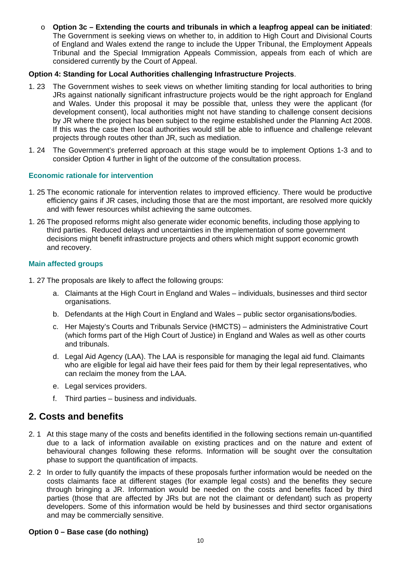o **Option 3c – Extending the courts and tribunals in which a leapfrog appeal can be initiated**: The Government is seeking views on whether to, in addition to High Court and Divisional Courts of England and Wales extend the range to include the Upper Tribunal, the Employment Appeals Tribunal and the Special Immigration Appeals Commission, appeals from each of which are considered currently by the Court of Appeal.

# **Option 4: Standing for Local Authorities challenging Infrastructure Projects**.

- 1. 23 The Government wishes to seek views on whether limiting standing for local authorities to bring JRs against nationally significant infrastructure projects would be the right approach for England and Wales. Under this proposal it may be possible that, unless they were the applicant (for development consent), local authorities might not have standing to challenge consent decisions by JR where the project has been subject to the regime established under the Planning Act 2008. If this was the case then local authorities would still be able to influence and challenge relevant projects through routes other than JR, such as mediation.
- 1. 24 The Government's preferred approach at this stage would be to implement Options 1-3 and to consider Option 4 further in light of the outcome of the consultation process.

# **Economic rationale for intervention**

- 1. 25 The economic rationale for intervention relates to improved efficiency. There would be productive efficiency gains if JR cases, including those that are the most important, are resolved more quickly and with fewer resources whilst achieving the same outcomes.
- 1. 26 The proposed reforms might also generate wider economic benefits, including those applying to third parties. Reduced delays and uncertainties in the implementation of some government decisions might benefit infrastructure projects and others which might support economic growth and recovery.

# **Main affected groups**

- 1. 27 The proposals are likely to affect the following groups:
	- a. Claimants at the High Court in England and Wales individuals, businesses and third sector organisations.
	- b. Defendants at the High Court in England and Wales public sector organisations/bodies.
	- c. Her Majesty's Courts and Tribunals Service (HMCTS) administers the Administrative Court (which forms part of the High Court of Justice) in England and Wales as well as other courts and tribunals.
	- d. Legal Aid Agency (LAA). The LAA is responsible for managing the legal aid fund. Claimants who are eligible for legal aid have their fees paid for them by their legal representatives, who can reclaim the money from the LAA.
	- e. Legal services providers.
	- f. Third parties business and individuals.

# **2. Costs and benefits**

- 2. 1 At this stage many of the costs and benefits identified in the following sections remain un-quantified due to a lack of information available on existing practices and on the nature and extent of behavioural changes following these reforms. Information will be sought over the consultation phase to support the quantification of impacts.
- 2. 2 In order to fully quantify the impacts of these proposals further information would be needed on the costs claimants face at different stages (for example legal costs) and the benefits they secure through bringing a JR. Information would be needed on the costs and benefits faced by third parties (those that are affected by JRs but are not the claimant or defendant) such as property developers. Some of this information would be held by businesses and third sector organisations and may be commercially sensitive.

# **Option 0 – Base case (do nothing)**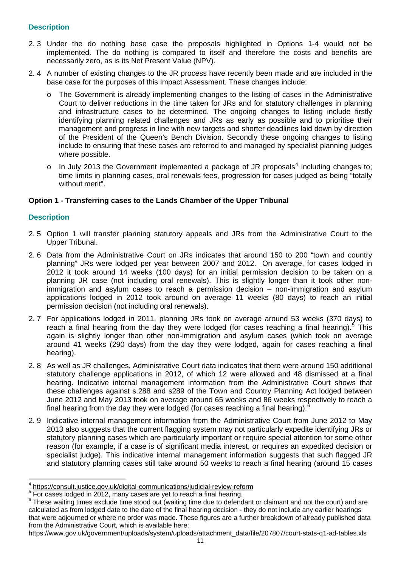# **Description**

- 2. 3 Under the do nothing base case the proposals highlighted in Options 1-4 would not be implemented. The do nothing is compared to itself and therefore the costs and benefits are necessarily zero, as is its Net Present Value (NPV).
- 2. 4 A number of existing changes to the JR process have recently been made and are included in the base case for the purposes of this Impact Assessment. These changes include:
	- o The Government is already implementing changes to the listing of cases in the Administrative Court to deliver reductions in the time taken for JRs and for statutory challenges in planning and infrastructure cases to be determined. The ongoing changes to listing include firstly identifying planning related challenges and JRs as early as possible and to prioritise their management and progress in line with new targets and shorter deadlines laid down by direction of the President of the Queen's Bench Division. Secondly these ongoing changes to listing include to ensuring that these cases are referred to and managed by specialist planning judges where possible.
	- $\circ$  In July 2013 the Government implemented a package of JR proposals<sup>[4](#page-10-0)</sup> including changes to; time limits in planning cases, oral renewals fees, progression for cases judged as being "totally without merit".

# **Option 1 - Transferring cases to the Lands Chamber of the Upper Tribunal**

# **Description**

l

- 2. 5 Option 1 will transfer planning statutory appeals and JRs from the Administrative Court to the Upper Tribunal.
- 2. 6 Data from the Administrative Court on JRs indicates that around 150 to 200 "town and country planning" JRs were lodged per year between 2007 and 2012. On average, for cases lodged in 2012 it took around 14 weeks (100 days) for an initial permission decision to be taken on a planning JR case (not including oral renewals). This is slightly longer than it took other nonimmigration and asylum cases to reach a permission decision – non-immigration and asylum applications lodged in 2012 took around on average 11 weeks (80 days) to reach an initial permission decision (not including oral renewals).
- 2. 7 For applications lodged in 2011, planning JRs took on average around 53 weeks (370 days) to reach a final hearing from the day they were lodged (for cases reaching a final hearing).<sup>[5](#page-10-1)</sup> This again is slightly longer than other non-immigration and asylum cases (which took on average around 41 weeks (290 days) from the day they were lodged, again for cases reaching a final hearing).
- 2. 8 As well as JR challenges, Administrative Court data indicates that there were around 150 additional statutory challenge applications in 2012, of which 12 were allowed and 48 dismissed at a final hearing. Indicative internal management information from the Administrative Court shows that these challenges against s.288 and s289 of the Town and Country Planning Act lodged between June 2012 and May 2013 took on average around 65 weeks and 86 weeks respectively to reach a final hearing from the day they were lodged (for cases reaching a final hearing).
- 2. 9 Indicative internal management information from the Administrative Court from June 2012 to May 2013 also suggests that the current flagging system may not particularly expedite identifying JRs or statutory planning cases which are particularly important or require special attention for some other reason (for example, if a case is of significant media interest, or requires an expedited decision or specialist judge). This indicative internal management information suggests that such flagged JR and statutory planning cases still take around 50 weeks to reach a final hearing (around 15 cases

<span id="page-10-0"></span><sup>&</sup>lt;sup>4</sup> <https://consult.justice.gov.uk/digital-communications/judicial-review-reform>

<span id="page-10-1"></span><sup>&</sup>lt;sup>5</sup> For cases lodged in 2012, many cases are yet to reach a final hearing.

<span id="page-10-2"></span><sup>&</sup>lt;sup>6</sup> These waiting times exclude time stood out (waiting time due to defendant or claimant and not the court) and are calculated as from lodged date to the date of the final hearing decision - they do not include any earlier hearings that were adjourned or where no order was made. These figures are a further breakdown of already published data from the Administrative Court, which is available here:

https://www.gov.uk/government/uploads/system/uploads/attachment\_data/file/207807/court-stats-q1-ad-tables.xls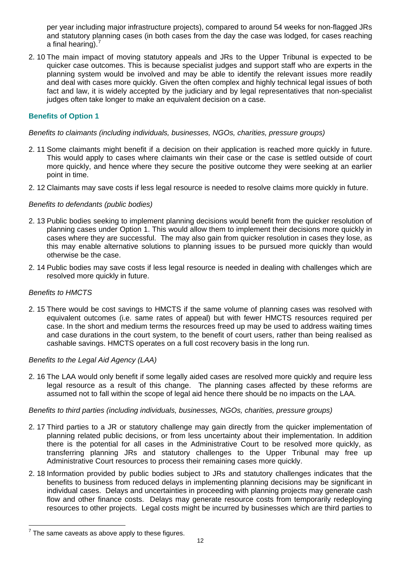per year including major infrastructure projects), compared to around 54 weeks for non-flagged JRs and statutory planning cases (in both cases from the day the case was lodged, for cases reaching a final hearing).<sup>7</sup>

2. 10 The main impact of moving statutory appeals and JRs to the Upper Tribunal is expected to be quicker case outcomes. This is because specialist judges and support staff who are experts in the planning system would be involved and may be able to identify the relevant issues more readily and deal with cases more quickly. Given the often complex and highly technical legal issues of both fact and law, it is widely accepted by the judiciary and by legal representatives that non-specialist judges often take longer to make an equivalent decision on a case.

# **Benefits of Option 1**

#### *Benefits to claimants (including individuals, businesses, NGOs, charities, pressure groups)*

- 2. 11 Some claimants might benefit if a decision on their application is reached more quickly in future. This would apply to cases where claimants win their case or the case is settled outside of court more quickly, and hence where they secure the positive outcome they were seeking at an earlier point in time.
- 2. 12 Claimants may save costs if less legal resource is needed to resolve claims more quickly in future.

## *Benefits to defendants (public bodies)*

- 2. 13 Public bodies seeking to implement planning decisions would benefit from the quicker resolution of planning cases under Option 1. This would allow them to implement their decisions more quickly in cases where they are successful. The may also gain from quicker resolution in cases they lose, as this may enable alternative solutions to planning issues to be pursued more quickly than would otherwise be the case.
- 2. 14 Public bodies may save costs if less legal resource is needed in dealing with challenges which are resolved more quickly in future.

#### *Benefits to HMCTS*

2. 15 There would be cost savings to HMCTS if the same volume of planning cases was resolved with equivalent outcomes (i.e. same rates of appeal) but with fewer HMCTS resources required per case. In the short and medium terms the resources freed up may be used to address waiting times and case durations in the court system, to the benefit of court users, rather than being realised as cashable savings. HMCTS operates on a full cost recovery basis in the long run.

#### *Benefits to the Legal Aid Agency (LAA)*

2. 16 The LAA would only benefit if some legally aided cases are resolved more quickly and require less legal resource as a result of this change. The planning cases affected by these reforms are assumed not to fall within the scope of legal aid hence there should be no impacts on the LAA.

#### *Benefits to third parties (including individuals, businesses, NGOs, charities, pressure groups)*

- 2. 17 Third parties to a JR or statutory challenge may gain directly from the quicker implementation of planning related public decisions, or from less uncertainty about their implementation. In addition there is the potential for all cases in the Administrative Court to be resolved more quickly, as transferring planning JRs and statutory challenges to the Upper Tribunal may free up Administrative Court resources to process their remaining cases more quickly.
- 2. 18 Information provided by public bodies subject to JRs and statutory challenges indicates that the benefits to business from reduced delays in implementing planning decisions may be significant in individual cases. Delays and uncertainties in proceeding with planning projects may generate cash flow and other finance costs. Delays may generate resource costs from temporarily redeploying resources to other projects. Legal costs might be incurred by businesses which are third parties to

The same caveats as above apply to these figures.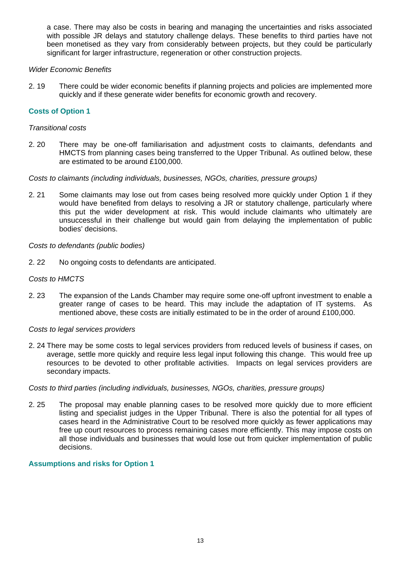a case. There may also be costs in bearing and managing the uncertainties and risks associated with possible JR delays and statutory challenge delays. These benefits to third parties have not been monetised as they vary from considerably between projects, but they could be particularly significant for larger infrastructure, regeneration or other construction projects.

# *Wider Economic Benefits*

2. 19 There could be wider economic benefits if planning projects and policies are implemented more quickly and if these generate wider benefits for economic growth and recovery.

# **Costs of Option 1**

# *Transitional costs*

2. 20 There may be one-off familiarisation and adjustment costs to claimants, defendants and HMCTS from planning cases being transferred to the Upper Tribunal. As outlined below, these are estimated to be around £100,000.

*Costs to claimants (including individuals, businesses, NGOs, charities, pressure groups)* 

2. 21 Some claimants may lose out from cases being resolved more quickly under Option 1 if they would have benefited from delays to resolving a JR or statutory challenge, particularly where this put the wider development at risk. This would include claimants who ultimately are unsuccessful in their challenge but would gain from delaying the implementation of public bodies' decisions.

## *Costs to defendants (public bodies)*

2. 22 No ongoing costs to defendants are anticipated.

# *Costs to HMCTS*

2. 23 The expansion of the Lands Chamber may require some one-off upfront investment to enable a greater range of cases to be heard. This may include the adaptation of IT systems. As mentioned above, these costs are initially estimated to be in the order of around £100,000.

# *Costs to legal services providers*

2. 24 There may be some costs to legal services providers from reduced levels of business if cases, on average, settle more quickly and require less legal input following this change. This would free up resources to be devoted to other profitable activities. Impacts on legal services providers are secondary impacts.

#### *Costs to third parties (including individuals, businesses, NGOs, charities, pressure groups)*

2. 25 The proposal may enable planning cases to be resolved more quickly due to more efficient listing and specialist judges in the Upper Tribunal. There is also the potential for all types of cases heard in the Administrative Court to be resolved more quickly as fewer applications may free up court resources to process remaining cases more efficiently. This may impose costs on all those individuals and businesses that would lose out from quicker implementation of public decisions.

# **Assumptions and risks for Option 1**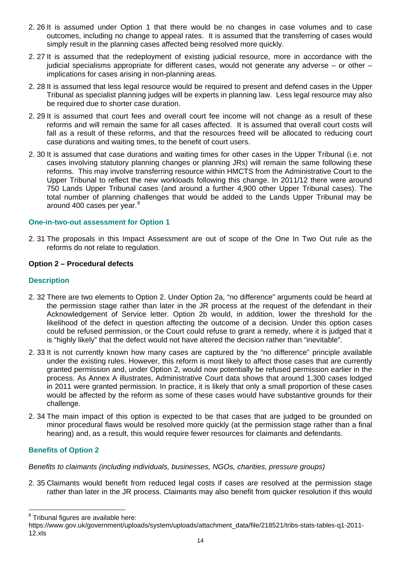- 2. 26 It is assumed under Option 1 that there would be no changes in case volumes and to case outcomes, including no change to appeal rates. It is assumed that the transferring of cases would simply result in the planning cases affected being resolved more quickly.
- 2. 27 It is assumed that the redeployment of existing judicial resource, more in accordance with the judicial specialisms appropriate for different cases, would not generate any adverse – or other – implications for cases arising in non-planning areas.
- 2. 28 It is assumed that less legal resource would be required to present and defend cases in the Upper Tribunal as specialist planning judges will be experts in planning law. Less legal resource may also be required due to shorter case duration.
- 2. 29 It is assumed that court fees and overall court fee income will not change as a result of these reforms and will remain the same for all cases affected. It is assumed that overall court costs will fall as a result of these reforms, and that the resources freed will be allocated to reducing court case durations and waiting times, to the benefit of court users.
- 2. 30 It is assumed that case durations and waiting times for other cases in the Upper Tribunal (i.e. not cases involving statutory planning changes or planning JRs) will remain the same following these reforms. This may involve transferring resource within HMCTS from the Administrative Court to the Upper Tribunal to reflect the new workloads following this change. In 2011/12 there were around 750 Lands Upper Tribunal cases (and around a further 4,900 other Upper Tribunal cases). The total number of planning challenges that would be added to the Lands Upper Tribunal may be around 400 cases per year.<sup>[8](#page-13-0)</sup>

# **One-in-two-out assessment for Option 1**

2. 31 The proposals in this Impact Assessment are out of scope of the One In Two Out rule as the reforms do not relate to regulation.

## **Option 2 – Procedural defects**

## **Description**

- 2. 32 There are two elements to Option 2. Under Option 2a, "no difference" arguments could be heard at the permission stage rather than later in the JR process at the request of the defendant in their Acknowledgement of Service letter. Option 2b would, in addition, lower the threshold for the likelihood of the defect in question affecting the outcome of a decision. Under this option cases could be refused permission, or the Court could refuse to grant a remedy, where it is judged that it is "highly likely" that the defect would not have altered the decision rather than "inevitable".
- 2. 33 It is not currently known how many cases are captured by the "no difference" principle available under the existing rules. However, this reform is most likely to affect those cases that are currently granted permission and, under Option 2, would now potentially be refused permission earlier in the process. As Annex A illustrates, Administrative Court data shows that around 1,300 cases lodged in 2011 were granted permission. In practice, it is likely that only a small proportion of these cases would be affected by the reform as some of these cases would have substantive grounds for their challenge.
- 2. 34 The main impact of this option is expected to be that cases that are judged to be grounded on minor procedural flaws would be resolved more quickly (at the permission stage rather than a final hearing) and, as a result, this would require fewer resources for claimants and defendants.

# **Benefits of Option 2**

l

*Benefits to claimants (including individuals, businesses, NGOs, charities, pressure groups)* 

2. 35 Claimants would benefit from reduced legal costs if cases are resolved at the permission stage rather than later in the JR process. Claimants may also benefit from quicker resolution if this would

<span id="page-13-0"></span> $8$  Tribunal figures are available here:

https://www.gov.uk/government/uploads/system/uploads/attachment\_data/file/218521/tribs-stats-tables-q1-2011- 12.xls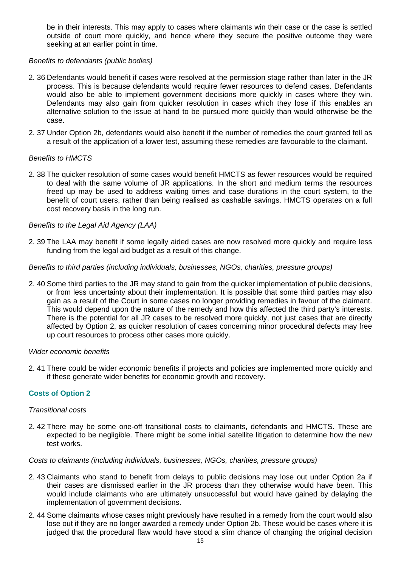be in their interests. This may apply to cases where claimants win their case or the case is settled outside of court more quickly, and hence where they secure the positive outcome they were seeking at an earlier point in time.

# *Benefits to defendants (public bodies)*

- 2. 36 Defendants would benefit if cases were resolved at the permission stage rather than later in the JR process. This is because defendants would require fewer resources to defend cases. Defendants would also be able to implement government decisions more quickly in cases where they win. Defendants may also gain from quicker resolution in cases which they lose if this enables an alternative solution to the issue at hand to be pursued more quickly than would otherwise be the case.
- 2. 37 Under Option 2b, defendants would also benefit if the number of remedies the court granted fell as a result of the application of a lower test, assuming these remedies are favourable to the claimant.

#### *Benefits to HMCTS*

2. 38 The quicker resolution of some cases would benefit HMCTS as fewer resources would be required to deal with the same volume of JR applications. In the short and medium terms the resources freed up may be used to address waiting times and case durations in the court system, to the benefit of court users, rather than being realised as cashable savings. HMCTS operates on a full cost recovery basis in the long run.

#### *Benefits to the Legal Aid Agency (LAA)*

2. 39 The LAA may benefit if some legally aided cases are now resolved more quickly and require less funding from the legal aid budget as a result of this change.

#### *Benefits to third parties (including individuals, businesses, NGOs, charities, pressure groups)*

2. 40 Some third parties to the JR may stand to gain from the quicker implementation of public decisions, or from less uncertainty about their implementation. It is possible that some third parties may also gain as a result of the Court in some cases no longer providing remedies in favour of the claimant. This would depend upon the nature of the remedy and how this affected the third party's interests. There is the potential for all JR cases to be resolved more quickly, not just cases that are directly affected by Option 2, as quicker resolution of cases concerning minor procedural defects may free up court resources to process other cases more quickly.

#### *Wider economic benefits*

2. 41 There could be wider economic benefits if projects and policies are implemented more quickly and if these generate wider benefits for economic growth and recovery.

# **Costs of Option 2**

#### *Transitional costs*

2. 42 There may be some one-off transitional costs to claimants, defendants and HMCTS. These are expected to be negligible. There might be some initial satellite litigation to determine how the new test works.

#### *Costs to claimants (including individuals, businesses, NGOs, charities, pressure groups)*

- 2. 43 Claimants who stand to benefit from delays to public decisions may lose out under Option 2a if their cases are dismissed earlier in the JR process than they otherwise would have been. This would include claimants who are ultimately unsuccessful but would have gained by delaying the implementation of government decisions.
- 2. 44 Some claimants whose cases might previously have resulted in a remedy from the court would also lose out if they are no longer awarded a remedy under Option 2b. These would be cases where it is judged that the procedural flaw would have stood a slim chance of changing the original decision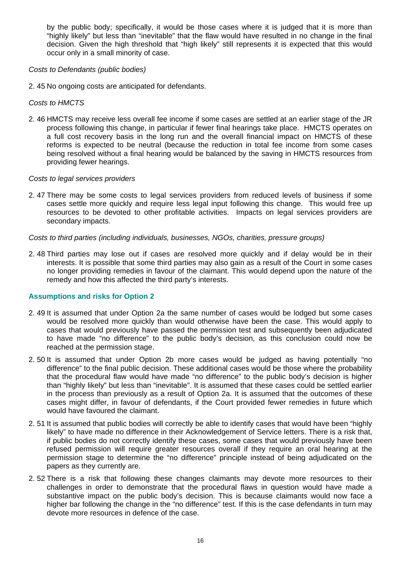by the public body; specifically, it would be those cases where it is judged that it is more than "highly likely" but less than "inevitable" that the flaw would have resulted in no change in the final decision. Given the high threshold that "high likely" still represents it is expected that this would occur only in a small minority of case.

## *Costs to Defendants (public bodies)*

2. 45 No ongoing costs are anticipated for defendants.

## *Costs to HMCTS*

2. 46 HMCTS may receive less overall fee income if some cases are settled at an earlier stage of the JR process following this change, in particular if fewer final hearings take place. HMCTS operates on a full cost recovery basis in the long run and the overall financial impact on HMCTS of these reforms is expected to be neutral (because the reduction in total fee income from some cases being resolved without a final hearing would be balanced by the saving in HMCTS resources from providing fewer hearings.

## *Costs to legal services providers*

2. 47 There may be some costs to legal services providers from reduced levels of business if some cases settle more quickly and require less legal input following this change. This would free up resources to be devoted to other profitable activities. Impacts on legal services providers are secondary impacts.

## *Costs to third parties (including individuals, businesses, NGOs, charities, pressure groups)*

2. 48 Third parties may lose out if cases are resolved more quickly and if delay would be in their interests. It is possible that some third parties may also gain as a result of the Court in some cases no longer providing remedies in favour of the claimant. This would depend upon the nature of the remedy and how this affected the third party's interests.

# **Assumptions and risks for Option 2**

- 2. 49 It is assumed that under Option 2a the same number of cases would be lodged but some cases would be resolved more quickly than would otherwise have been the case. This would apply to cases that would previously have passed the permission test and subsequently been adjudicated to have made "no difference" to the public body's decision, as this conclusion could now be reached at the permission stage.
- 2. 50 It is assumed that under Option 2b more cases would be judged as having potentially "no difference" to the final public decision. These additional cases would be those where the probability that the procedural flaw would have made "no difference" to the public body's decision is higher than "highly likely" but less than "inevitable". It is assumed that these cases could be settled earlier in the process than previously as a result of Option 2a. It is assumed that the outcomes of these cases might differ, in favour of defendants, if the Court provided fewer remedies in future which would have favoured the claimant.
- 2. 51 It is assumed that public bodies will correctly be able to identify cases that would have been "highly likely" to have made no difference in their Acknowledgement of Service letters. There is a risk that, if public bodies do not correctly identify these cases, some cases that would previously have been refused permission will require greater resources overall if they require an oral hearing at the permission stage to determine the "no difference" principle instead of being adjudicated on the papers as they currently are.
- 2. 52 There is a risk that following these changes claimants may devote more resources to their challenges in order to demonstrate that the procedural flaws in question would have made a substantive impact on the public body's decision. This is because claimants would now face a higher bar following the change in the "no difference" test. If this is the case defendants in turn may devote more resources in defence of the case.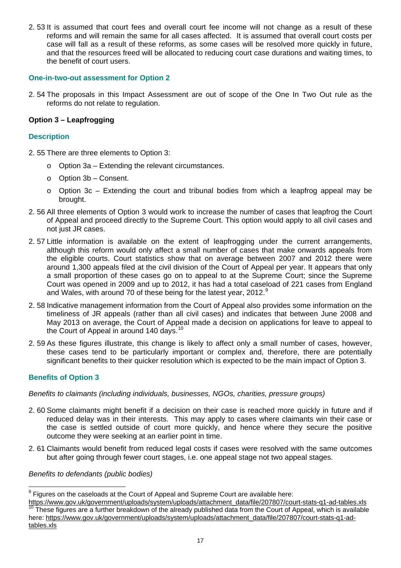2. 53 It is assumed that court fees and overall court fee income will not change as a result of these reforms and will remain the same for all cases affected. It is assumed that overall court costs per case will fall as a result of these reforms, as some cases will be resolved more quickly in future, and that the resources freed will be allocated to reducing court case durations and waiting times, to the benefit of court users.

# **One-in-two-out assessment for Option 2**

2. 54 The proposals in this Impact Assessment are out of scope of the One In Two Out rule as the reforms do not relate to regulation.

# **Option 3 – Leapfrogging**

## **Description**

- 2. 55 There are three elements to Option 3:
	- o Option 3a Extending the relevant circumstances.
	- o Option 3b Consent.
	- $\circ$  Option 3c Extending the court and tribunal bodies from which a leapfrog appeal may be brought.
- 2. 56 All three elements of Option 3 would work to increase the number of cases that leapfrog the Court of Appeal and proceed directly to the Supreme Court. This option would apply to all civil cases and not just JR cases.
- 2. 57 Little information is available on the extent of leapfrogging under the current arrangements, although this reform would only affect a small number of cases that make onwards appeals from the eligible courts. Court statistics show that on average between 2007 and 2012 there were around 1,300 appeals filed at the civil division of the Court of Appeal per year. It appears that only a small proportion of these cases go on to appeal to at the Supreme Court; since the Supreme Court was opened in 2009 and up to 2012, it has had a total caseload of 221 cases from England and Wales, with around 70 of these being for the latest year, 2012.<sup>[9](#page-16-0)</sup>
- 2. 58 Indicative management information from the Court of Appeal also provides some information on the timeliness of JR appeals (rather than all civil cases) and indicates that between June 2008 and May 2013 on average, the Court of Appeal made a decision on applications for leave to appeal to the Court of Appeal in around 140 days.<sup>[10](#page-16-1)</sup>
- 2. 59 As these figures illustrate, this change is likely to affect only a small number of cases, however, these cases tend to be particularly important or complex and, therefore, there are potentially significant benefits to their quicker resolution which is expected to be the main impact of Option 3.

# **Benefits of Option 3**

*Benefits to claimants (including individuals, businesses, NGOs, charities, pressure groups)* 

- 2. 60 Some claimants might benefit if a decision on their case is reached more quickly in future and if reduced delay was in their interests. This may apply to cases where claimants win their case or the case is settled outside of court more quickly, and hence where they secure the positive outcome they were seeking at an earlier point in time.
- 2. 61 Claimants would benefit from reduced legal costs if cases were resolved with the same outcomes but after going through fewer court stages, i.e. one appeal stage not two appeal stages.

#### *Benefits to defendants (public bodies)*

<sup>————————————————————&</sup>lt;br><sup>9</sup> Figures on the caseloads at the Court of Appeal and Supreme Court are available here:

<span id="page-16-1"></span><span id="page-16-0"></span>[https://www.gov.uk/government/uploads/system/uploads/attachment\\_data/file/207807/court-stats-q1-ad-tables.xls](https://www.gov.uk/government/uploads/system/uploads/attachment_data/file/207807/court-stats-q1-ad-tables.xls)<br><sup>10</sup> These figures are a further breakdown of the already published data from the Court of Appeal, which is avai here: [https://www.gov.uk/government/uploads/system/uploads/attachment\\_data/file/207807/court-stats-q1-ad](https://www.gov.uk/government/uploads/system/uploads/attachment_data/file/207807/court-stats-q1-ad-tables.xls)[tables.xls](https://www.gov.uk/government/uploads/system/uploads/attachment_data/file/207807/court-stats-q1-ad-tables.xls)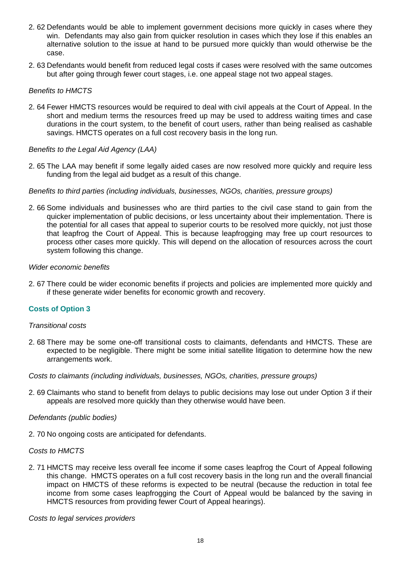- 2. 62 Defendants would be able to implement government decisions more quickly in cases where they win. Defendants may also gain from quicker resolution in cases which they lose if this enables an alternative solution to the issue at hand to be pursued more quickly than would otherwise be the case.
- 2. 63 Defendants would benefit from reduced legal costs if cases were resolved with the same outcomes but after going through fewer court stages, i.e. one appeal stage not two appeal stages.

# *Benefits to HMCTS*

2. 64 Fewer HMCTS resources would be required to deal with civil appeals at the Court of Appeal. In the short and medium terms the resources freed up may be used to address waiting times and case durations in the court system, to the benefit of court users, rather than being realised as cashable savings. HMCTS operates on a full cost recovery basis in the long run.

## *Benefits to the Legal Aid Agency (LAA)*

2. 65 The LAA may benefit if some legally aided cases are now resolved more quickly and require less funding from the legal aid budget as a result of this change.

#### *Benefits to third parties (including individuals, businesses, NGOs, charities, pressure groups)*

2. 66 Some individuals and businesses who are third parties to the civil case stand to gain from the quicker implementation of public decisions, or less uncertainty about their implementation. There is the potential for all cases that appeal to superior courts to be resolved more quickly, not just those that leapfrog the Court of Appeal. This is because leapfrogging may free up court resources to process other cases more quickly. This will depend on the allocation of resources across the court system following this change.

#### *Wider economic benefits*

2. 67 There could be wider economic benefits if projects and policies are implemented more quickly and if these generate wider benefits for economic growth and recovery.

# **Costs of Option 3**

#### *Transitional costs*

2. 68 There may be some one-off transitional costs to claimants, defendants and HMCTS. These are expected to be negligible. There might be some initial satellite litigation to determine how the new arrangements work.

*Costs to claimants (including individuals, businesses, NGOs, charities, pressure groups)* 

2. 69 Claimants who stand to benefit from delays to public decisions may lose out under Option 3 if their appeals are resolved more quickly than they otherwise would have been.

#### *Defendants (public bodies)*

2. 70 No ongoing costs are anticipated for defendants.

#### *Costs to HMCTS*

2. 71 HMCTS may receive less overall fee income if some cases leapfrog the Court of Appeal following this change. HMCTS operates on a full cost recovery basis in the long run and the overall financial impact on HMCTS of these reforms is expected to be neutral (because the reduction in total fee income from some cases leapfrogging the Court of Appeal would be balanced by the saving in HMCTS resources from providing fewer Court of Appeal hearings).

*Costs to legal services providers*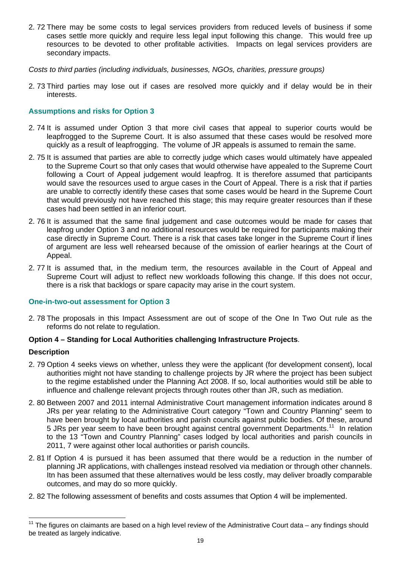2. 72 There may be some costs to legal services providers from reduced levels of business if some cases settle more quickly and require less legal input following this change. This would free up resources to be devoted to other profitable activities. Impacts on legal services providers are secondary impacts.

*Costs to third parties (including individuals, businesses, NGOs, charities, pressure groups)* 

2. 73 Third parties may lose out if cases are resolved more quickly and if delay would be in their interests.

# **Assumptions and risks for Option 3**

- 2. 74 It is assumed under Option 3 that more civil cases that appeal to superior courts would be leapfrogged to the Supreme Court. It is also assumed that these cases would be resolved more quickly as a result of leapfrogging. The volume of JR appeals is assumed to remain the same.
- 2. 75 It is assumed that parties are able to correctly judge which cases would ultimately have appealed to the Supreme Court so that only cases that would otherwise have appealed to the Supreme Court following a Court of Appeal judgement would leapfrog. It is therefore assumed that participants would save the resources used to argue cases in the Court of Appeal. There is a risk that if parties are unable to correctly identify these cases that some cases would be heard in the Supreme Court that would previously not have reached this stage; this may require greater resources than if these cases had been settled in an inferior court.
- 2. 76 It is assumed that the same final judgement and case outcomes would be made for cases that leapfrog under Option 3 and no additional resources would be required for participants making their case directly in Supreme Court. There is a risk that cases take longer in the Supreme Court if lines of argument are less well rehearsed because of the omission of earlier hearings at the Court of Appeal.
- 2. 77 It is assumed that, in the medium term, the resources available in the Court of Appeal and Supreme Court will adjust to reflect new workloads following this change. If this does not occur, there is a risk that backlogs or spare capacity may arise in the court system.

# **One-in-two-out assessment for Option 3**

2. 78 The proposals in this Impact Assessment are out of scope of the One In Two Out rule as the reforms do not relate to regulation.

# **Option 4 – Standing for Local Authorities challenging Infrastructure Projects**.

#### **Description**

 $\overline{a}$ 

- 2. 79 Option 4 seeks views on whether, unless they were the applicant (for development consent), local authorities might not have standing to challenge projects by JR where the project has been subject to the regime established under the Planning Act 2008. If so, local authorities would still be able to influence and challenge relevant projects through routes other than JR, such as mediation.
- 2. 80 Between 2007 and 2011 internal Administrative Court management information indicates around 8 JRs per year relating to the Administrative Court category "Town and Country Planning" seem to have been brought by local authorities and parish councils against public bodies. Of these, around 5 JRs per year seem to have been brought against central government Departments.<sup>[11](#page-18-0)</sup> In relation to the 13 "Town and Country Planning" cases lodged by local authorities and parish councils in 2011, 7 were against other local authorities or parish councils.
- 2. 81 If Option 4 is pursued it has been assumed that there would be a reduction in the number of planning JR applications, with challenges instead resolved via mediation or through other channels. Itn has been assumed that these alternatives would be less costly, may deliver broadly comparable outcomes, and may do so more quickly.
- 2. 82 The following assessment of benefits and costs assumes that Option 4 will be implemented.

<span id="page-18-0"></span> $11$  The figures on claimants are based on a high level review of the Administrative Court data – any findings should be treated as largely indicative.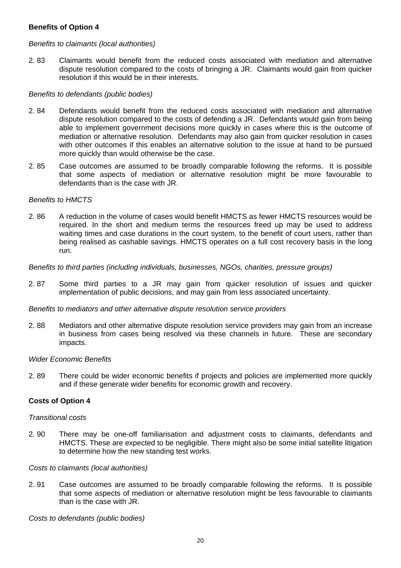# **Benefits of Option 4**

# *Benefits to claimants (local authorities)*

2. 83 Claimants would benefit from the reduced costs associated with mediation and alternative dispute resolution compared to the costs of bringing a JR. Claimants would gain from quicker resolution if this would be in their interests.

# *Benefits to defendants (public bodies)*

- 2. 84 Defendants would benefit from the reduced costs associated with mediation and alternative dispute resolution compared to the costs of defending a JR. Defendants would gain from being able to implement government decisions more quickly in cases where this is the outcome of mediation or alternative resolution. Defendants may also gain from quicker resolution in cases with other outcomes if this enables an alternative solution to the issue at hand to be pursued more quickly than would otherwise be the case.
- 2. 85 Case outcomes are assumed to be broadly comparable following the reforms. It is possible that some aspects of mediation or alternative resolution might be more favourable to defendants than is the case with JR.

## *Benefits to HMCTS*

2. 86 A reduction in the volume of cases would benefit HMCTS as fewer HMCTS resources would be required. In the short and medium terms the resources freed up may be used to address waiting times and case durations in the court system, to the benefit of court users, rather than being realised as cashable savings. HMCTS operates on a full cost recovery basis in the long run.

## *Benefits to third parties (including individuals, businesses, NGOs, charities, pressure groups)*

2. 87 Some third parties to a JR may gain from quicker resolution of issues and quicker implementation of public decisions, and may gain from less associated uncertainty.

#### *Benefits to mediators and other alternative dispute resolution service providers*

2. 88 Mediators and other alternative dispute resolution service providers may gain from an increase in business from cases being resolved via these channels in future. These are secondary impacts.

#### *Wider Economic Benefits*

2. 89 There could be wider economic benefits if projects and policies are implemented more quickly and if these generate wider benefits for economic growth and recovery.

# **Costs of Option 4**

#### *Transitional costs*

2. 90 There may be one-off familiarisation and adjustment costs to claimants, defendants and HMCTS. These are expected to be negligible. There might also be some initial satellite litigation to determine how the new standing test works.

#### *Costs to claimants (local authorities)*

2. 91 Case outcomes are assumed to be broadly comparable following the reforms. It is possible that some aspects of mediation or alternative resolution might be less favourable to claimants than is the case with JR.

*Costs to defendants (public bodies)*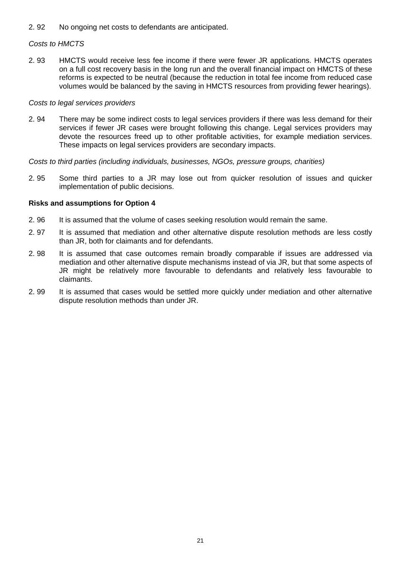2. 92 No ongoing net costs to defendants are anticipated.

# *Costs to HMCTS*

2. 93 HMCTS would receive less fee income if there were fewer JR applications. HMCTS operates on a full cost recovery basis in the long run and the overall financial impact on HMCTS of these reforms is expected to be neutral (because the reduction in total fee income from reduced case volumes would be balanced by the saving in HMCTS resources from providing fewer hearings).

#### *Costs to legal services providers*

2. 94 There may be some indirect costs to legal services providers if there was less demand for their services if fewer JR cases were brought following this change. Legal services providers may devote the resources freed up to other profitable activities, for example mediation services. These impacts on legal services providers are secondary impacts.

*Costs to third parties (including individuals, businesses, NGOs, pressure groups, charities)* 

2. 95 Some third parties to a JR may lose out from quicker resolution of issues and quicker implementation of public decisions.

## **Risks and assumptions for Option 4**

- 2. 96 It is assumed that the volume of cases seeking resolution would remain the same.
- 2. 97 It is assumed that mediation and other alternative dispute resolution methods are less costly than JR, both for claimants and for defendants.
- 2. 98 It is assumed that case outcomes remain broadly comparable if issues are addressed via mediation and other alternative dispute mechanisms instead of via JR, but that some aspects of JR might be relatively more favourable to defendants and relatively less favourable to claimants.
- 2. 99 It is assumed that cases would be settled more quickly under mediation and other alternative dispute resolution methods than under JR.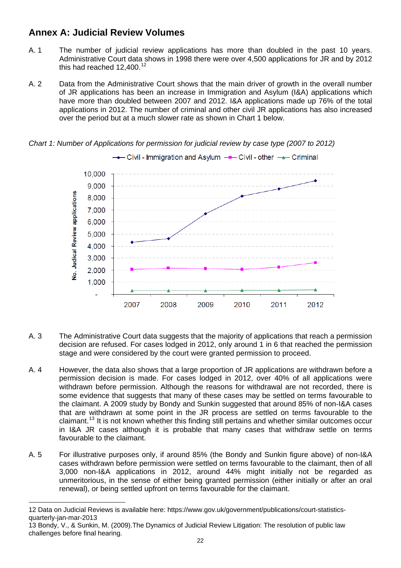# **Annex A: Judicial Review Volumes**

- A. 1 The number of judicial review applications has more than doubled in the past 10 years. Administrative Court data shows in 1998 there were over 4,500 applications for JR and by 2012 this had reached  $12,400.<sup>12</sup>$  $12,400.<sup>12</sup>$
- A. 2 Data from the Administrative Court shows that the main driver of growth in the overall number of JR applications has been an increase in Immigration and Asylum (I&A) applications which have more than doubled between 2007 and 2012. I&A applications made up 76% of the total applications in 2012. The number of criminal and other civil JR applications has also increased over the period but at a much slower rate as shown in Chart 1 below.



*Chart 1: Number of Applications for permission for judicial review by case type (2007 to 2012)*

- A. 3 The Administrative Court data suggests that the majority of applications that reach a permission decision are refused. For cases lodged in 2012, only around 1 in 6 that reached the permission stage and were considered by the court were granted permission to proceed.
- A. 4 However, the data also shows that a large proportion of JR applications are withdrawn before a permission decision is made. For cases lodged in 2012, over 40% of all applications were withdrawn before permission. Although the reasons for withdrawal are not recorded, there is some evidence that suggests that many of these cases may be settled on terms favourable to the claimant. A 2009 study by Bondy and Sunkin suggested that around 85% of non-I&A cases that are withdrawn at some point in the JR process are settled on terms favourable to the claimant.[13](#page-21-1) It is not known whether this finding still pertains and whether similar outcomes occur in I&A JR cases although it is probable that many cases that withdraw settle on terms favourable to the claimant.
- A. 5 For illustrative purposes only, if around 85% (the Bondy and Sunkin figure above) of non-I&A cases withdrawn before permission were settled on terms favourable to the claimant, then of all 3,000 non-I&A applications in 2012, around 44% might initially not be regarded as unmeritorious, in the sense of either being granted permission (either initially or after an oral renewal), or being settled upfront on terms favourable for the claimant.

l

<span id="page-21-0"></span><sup>12</sup> Data on Judicial Reviews is available here: https://www.gov.uk/government/publications/court-statisticsquarterly-jan-mar-2013

<span id="page-21-1"></span><sup>13</sup> Bondy, V., & Sunkin, M. (2009).The Dynamics of Judicial Review Litigation: The resolution of public law challenges before final hearing.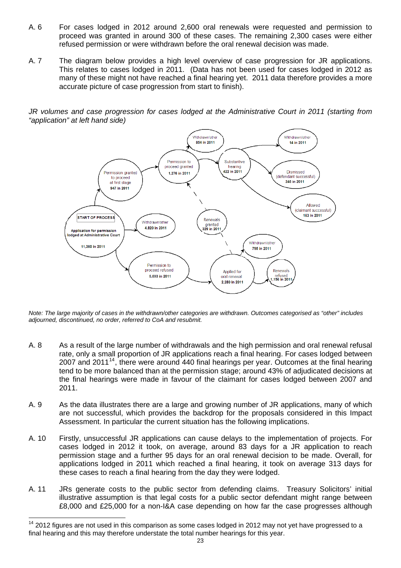- A. 6 For cases lodged in 2012 around 2,600 oral renewals were requested and permission to proceed was granted in around 300 of these cases. The remaining 2,300 cases were either refused permission or were withdrawn before the oral renewal decision was made.
- A. 7 The diagram below provides a high level overview of case progression for JR applications. This relates to cases lodged in 2011. (Data has not been used for cases lodged in 2012 as many of these might not have reached a final hearing yet. 2011 data therefore provides a more accurate picture of case progression from start to finish).

*JR volumes and case progression for cases lodged at the Administrative Court in 2011 (starting from "application" at left hand side)* 



*Note: The large majority of cases in the withdrawn/other categories are withdrawn. Outcomes categorised as "other" includes adjourned, discontinued, no order, referred to CoA and resubmit.*

- A. 8 As a result of the large number of withdrawals and the high permission and oral renewal refusal rate, only a small proportion of JR applications reach a final hearing. For cases lodged between 2007 and 2011<sup>[14](#page-22-0)</sup>, there were around 440 final hearings per year. Outcomes at the final hearing tend to be more balanced than at the permission stage; around 43% of adjudicated decisions at the final hearings were made in favour of the claimant for cases lodged between 2007 and 2011.
- A. 9 As the data illustrates there are a large and growing number of JR applications, many of which are not successful, which provides the backdrop for the proposals considered in this Impact Assessment. In particular the current situation has the following implications.
- A. 10 Firstly, unsuccessful JR applications can cause delays to the implementation of projects. For cases lodged in 2012 it took, on average, around 83 days for a JR application to reach permission stage and a further 95 days for an oral renewal decision to be made. Overall, for applications lodged in 2011 which reached a final hearing, it took on average 313 days for these cases to reach a final hearing from the day they were lodged.
- A. 11 JRs generate costs to the public sector from defending claims. Treasury Solicitors' initial illustrative assumption is that legal costs for a public sector defendant might range between £8,000 and £25,000 for a non-I&A case depending on how far the case progresses although

 $\overline{a}$ 

<span id="page-22-0"></span><sup>&</sup>lt;sup>14</sup> 2012 figures are not used in this comparison as some cases lodged in 2012 may not yet have progressed to a final hearing and this may therefore understate the total number hearings for this year.